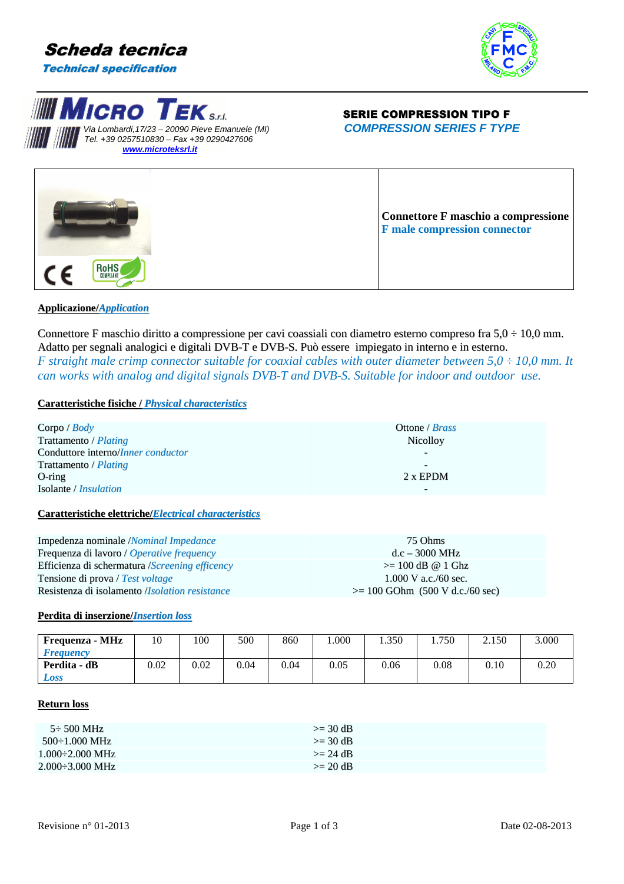







# **Applicazione/***Application*

Connettore F maschio diritto a compressione per cavi coassiali con diametro esterno compreso fra  $5.0 \div 10.0$  mm. Adatto per segnali analogici e digitali DVB-T e DVB-S. Può essere impiegato in interno e in esterno. *F* straight male crimp connector suitable for coaxial cables with outer diameter between  $5.0 \div 10.0$  mm. It *can works with analog and digital signals DVB-T and DVB-S. Suitable for indoor and outdoor use.* 

## **Caratteristiche fisiche /** *Physical characteristics*

| Corpo / $Body$                                          | Ottone / <i>Brass</i>             |
|---------------------------------------------------------|-----------------------------------|
| Trattamento / Plating                                   | <b>Nicolloy</b>                   |
| Conduttore interno/ <i>Inner conductor</i>              |                                   |
| Trattamento / <i>Plating</i>                            | $\overline{\phantom{0}}$          |
| $O$ -ring                                               | 2 x EPDM                          |
| Isolante / <i>Insulation</i>                            |                                   |
| Caratteristiche elettriche/Electrical characteristics   |                                   |
| Impedenza nominale /Nominal Impedance                   | 75 Ohms                           |
| Frequenza di lavoro / Operative frequency               | $d.c - 3000 MHz$                  |
| Efficienza di schermatura / Screening efficency         | $\geq$ 100 dB @ 1 Ghz             |
| Tensione di prova / Test voltage                        | $1.000$ V a.c./60 sec.            |
| Resistenza di isolamento <i>(Isolation resistance</i> ) | $>= 100$ GOhm (500 V d.c./60 sec) |

#### **Perdita di inserzione/***Insertion loss*

| Frequenza - MHz         | 10   | 100  | 500  | 860  | .000 | 1.350 | 1.750 | 2.150 | 3.000 |
|-------------------------|------|------|------|------|------|-------|-------|-------|-------|
| <i><b>Frequency</b></i> |      |      |      |      |      |       |       |       |       |
| Perdita - dB            | 0.02 | 0.02 | 0.04 | 0.04 | 0.05 | 0.06  | 0.08  | 0.10  | 0.20  |
| Loss                    |      |      |      |      |      |       |       |       |       |

## **Return loss**

| $5\div 500$ MHz                | $\geq$ 30 dB |
|--------------------------------|--------------|
| $500 \div 1,000 \text{ MHz}$   | $\geq$ 30 dB |
| $1.000 \div 2.000 \text{ MHz}$ | $\geq$ 24 dB |
| $2.000 \div 3.000 \text{ MHz}$ | $>= 20 dB$   |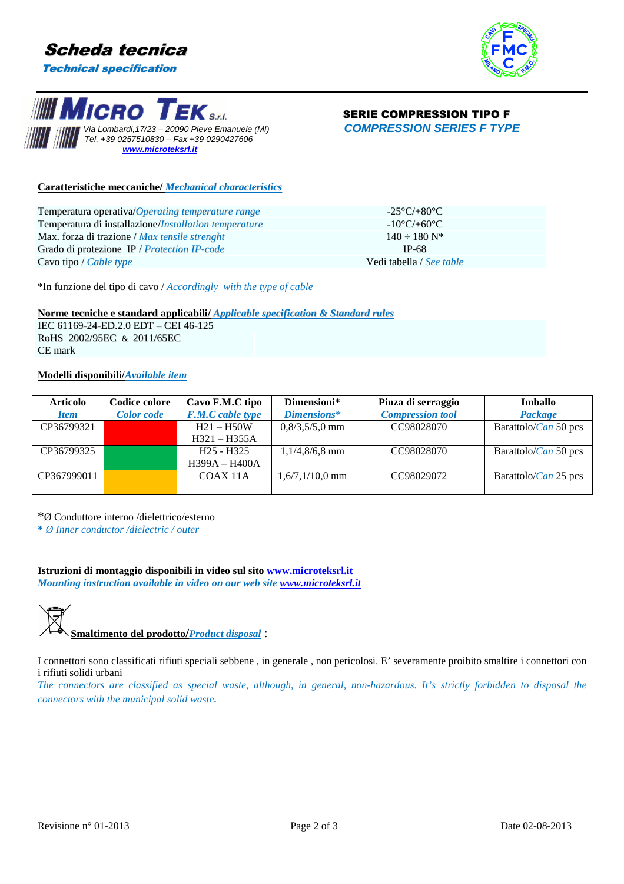





# $\mathbf{g}_{\mathbf{S}}$  **EK**  $\mathbf{g}_{\mathbf{S}}$  **SERIE COMPRESSION TIPO F**

# **Caratteristiche meccaniche/** *Mechanical characteristics*

| Temperatura operativa/Operating temperature range     | -25°C/+80°C $\cdot$              |
|-------------------------------------------------------|----------------------------------|
| Temperatura di installazione/Installation temperature | $-10^{\circ}$ C/+60 $^{\circ}$ C |
| Max. forza di trazione / Max tensile strenght         | $140 - 180$ N <sup>*</sup>       |
| Grado di protezione IP / Protection IP-code           | <b>IP-68</b>                     |
| Cavo tipo / <i>Cable type</i>                         | Vedi tabella / See table         |
|                                                       |                                  |

\*In funzione del tipo di cavo / *Accordingly with the type of cable*

### **Norme tecniche e standard applicabili/** *Applicable specification & Standard rules*

IEC 61169-24-ED.2.0 EDT – CEI 46-125 RoHS 2002/95EC & 2011/65EC CE mark

# **Modelli disponibili/***Available item*

| <b>Articolo</b> | Codice colore     | Cavo F.M.C tipo         | Dimensioni*       | Pinza di serraggio      | Imballo                      |
|-----------------|-------------------|-------------------------|-------------------|-------------------------|------------------------------|
| <b>Item</b>     | <b>Color</b> code | <b>F.M.C</b> cable type | Dimensions*       | <b>Compression tool</b> | Package                      |
| CP36799321      |                   | $H21 - H50W$            | $0,8/3,5/5,0$ mm  | CC98028070              | Barattolo/ <i>Can</i> 50 pcs |
|                 |                   | $H321 - H355A$          |                   |                         |                              |
| CP36799325      |                   | $H25 - H325$            | $1,1/4,8/6,8$ mm  | CC98028070              | Barattolo/ <i>Can</i> 50 pcs |
|                 |                   | H399A - H400A           |                   |                         |                              |
| CP367999011     |                   | COAX 11A                | $1,6/7,1/10,0$ mm | CC98029072              | Barattolo/ <i>Can</i> 25 pcs |
|                 |                   |                         |                   |                         |                              |

\*Ø Conduttore interno /dielettrico/esterno

**\*** *Ø Inner conductor /dielectric / outer*

**Istruzioni di montaggio disponibili in video sul sito www.microteksrl.it** *Mounting instruction available in video on our web site www.microteksrl.it*

**Smaltimento del prodotto/***Product disposal* :

I connettori sono classificati rifiuti speciali sebbene , in generale , non pericolosi. E' severamente proibito smaltire i connettori con i rifiuti solidi urbani

*The connectors are classified as special waste, although, in general, non-hazardous. It's strictly forbidden to disposal the connectors with the municipal solid waste.*